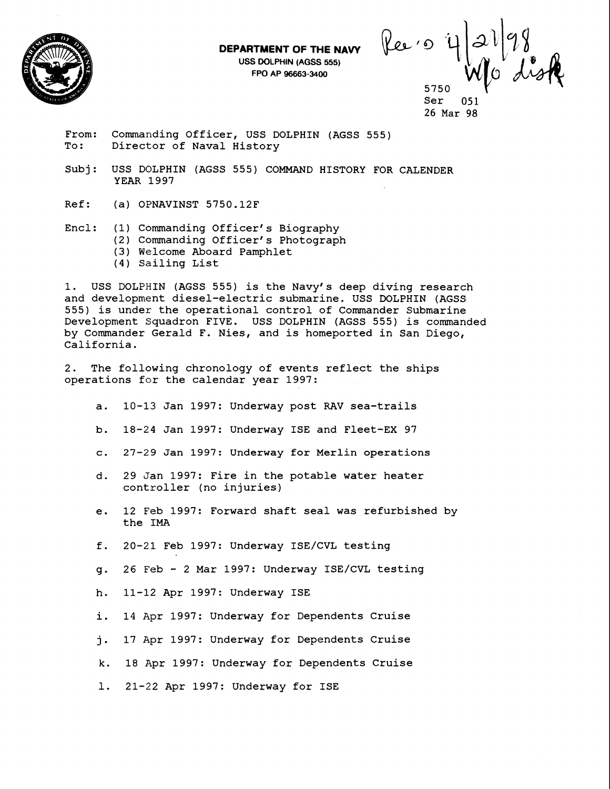**DEPARTMENT OF THE NAVY USS DOLPHIN (AGSS 555)** 

**FPO AP 96663-3400** 



Ree oi 5750

Ser 26 Mar **98** 

From: Commanding Officer, USS DOLPHIN (AGSS 555)<br>To: Director of Naval History Director of Naval History

- Subj: USS DOLPHIN (AGSS 555) COMMAND HISTORY FOR CALENDER YEAR 1997
- Ref: (a) OPNAVINST 5750.12F

Encl: (1) Commanding Officer's Biography

- (2) Commanding Of ficer' s Photograph
- (3) Welcome Aboard Pamphlet
- (4) Sailing List

1. USS DOLPHIN (AGSS 555) is the Navy's deep diving research and development diesel-electric submarine. USS DOLPHIN (AGSS 555) is under the operational control of Commander Submarine Development Squadron FIVE. USS DOLPHIN (AGSS 555) is commanded by Commander Gerald F. Nies, and is homeported in San Diego, California.

2. The following chronology of events reflect the ships operations for the calendar year 1997:

- a. 10-13 Jan 1997: Underway post RAV sea-trails
- b. 18-24 Jan 1997: Underway ISE and Fleet-EX 97
- c. 27-29 Jan 1997: Underway for Merlin operations
- d. 29 Jan 1997: Fire in the potable water heater controller (no injuries)
- e. 12 Feb 1997: Forward shaft seal was refurbished by the IMA
- f. 20-21 Feb 1997: Underway ISE/CVL testing
- g. 26 Feb 2 Mar 1997: Underway ISE/CVL testing
- h. 11-12 Apr 1997: Underway ISE
- i. 14 Apr 1997: Underway for Dependents Cruise
- j. 17 Apr 1997: Underway for Dependents Cruise
- k. 18 Apr 1997: Underway for Dependents Cruise
- 1. 21-22 Apr 1997: Underway for ISE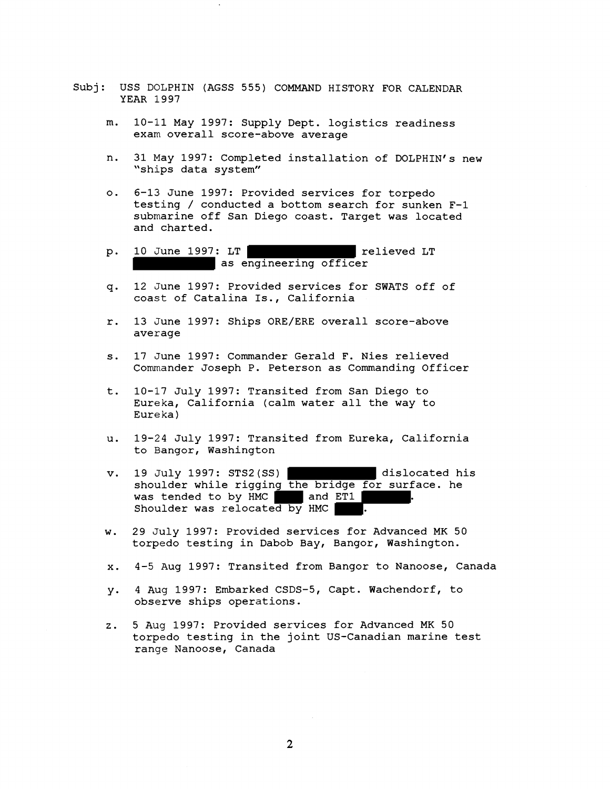- Subj: USS DOLPHIN (AGSS 555) COMMAND HISTORY FOR CALENDAR YEAR 1997
	- 10-11 May 1997: Supply Dept. logistics readiness m. exam overall score-above average
	- n. 31 May 1997: Completed installation of DOLPHIN's new "ships data system"
	- 6-13 June 1997: Provided services for torpedo  $\circ$ . testing / conducted a bottom search for sunken F-1 submarine off San Diego coast. Target was located and charted.
	- 10 June 1997: LT The Contract of Trelieved LT  $p.$ as engineering officer
	- 12 June 1997: Provided services for SWATS off of  $q<sub>1</sub>$ coast of Catalina Is., California
	- 13 June 1997: Ships ORE/ERE overall score-above  $r.$ average
	- 17 June 1997: Commander Gerald **F.** Nies relieved  $s.$ Commander Joseph P. Peterson as Commanding Officer
	- t. 10-17 July 1997: Transited from San Diego to Eureka, California (calm water all the way to Eureka )
	- 19-24 July 1997: Transited from Eureka, California u. to Bangor, Washington
	- 19 July 1997: STS2(SS) dislocated his v. shoulder while rigging the bridge for surface. he was tended to by HMC and ET1 Shoulder was relocated by HMC
	- 29 July 1997: Provided services for Advanced MK 50  $W_{\infty}$ torpedo testing in Dabob Bay, Bangor, Washington.
	- 4-5 Aug 1997: Transited from Bangor to Nanoose, Canada  $\mathbf{x}$ .
	- 4 Aug 1997: Embarked CSDS-5, Capt. Wachendorf, to y. observe ships operations.
	- 5 Aug 1997: Provided services for Advanced MK 50  $z$ . torpedo testing in the joint US-Canadian marine test range Nanoose, Canada